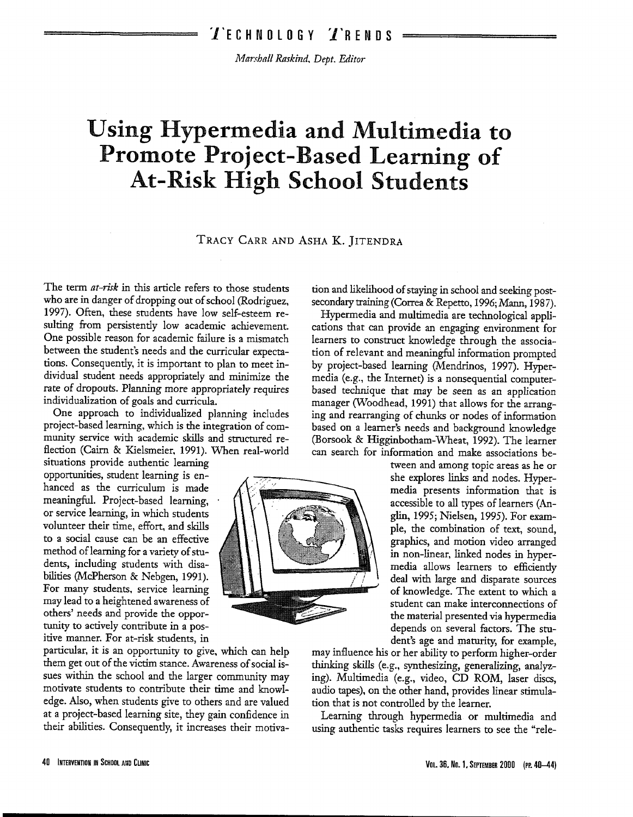Mm:~ha/1 *Rnskbzd. Dept. Editor* 

# **Using Hypermedia and Multimedia to Promote Project-Based Learning of At-Risk High School Students**

## TRACY CARR AND ASHA K. ]ITENDRA

The term *at-risk* in this article refers to those students who are in danger of dropping out of school (Rodriguez, 1997). Often, these students have low self-esteem resulting from persistently low academic achievement. One possible reason for academic failure is a mismatch between the student's needs and the curricular expectations. Consequently, it is important to plan to meet individual student needs appropriately and minimize the rate of dropouts. Planning more appropriately requires individualization of goals and curricula.

One approach to individualized planning includes project-based learning, which is the integration of community service with academic skills and structured reflection (Cairn & Kielsmeier, 1991). When real-world

situations provide authentic learning opportunities, student learning is enhanced as the curriculum is made meaningful. Project-based learning, or service learning, in which students volunteer their time, effort, and skills to a social cause can be an effective method of learning for a variety of students, including students with disabilities (McPherson & Nebgen, 1991). For many students, service learning may lead to a heightened awareness of others' needs and provide the opportunity to actively contribute in a positive manner. For at-risk students, in

particular, it is an opportunity to give, which can help them get out of the victim stance. Awareness of social issues within the school and the larger community may motivate students to contribute their time and knowledge. Also, when students give to others and are valued at a project-based learning site, they gain confidence in their abilities. Consequently, it increases their motivation and likelihood of staying in school and seeking postsecondary training (Correa & Repetto, 1996; Mann, 1987).

Hypermedia and multimedia are technological applications that can provide an engaging environment for learners to construct knowledge through the association of relevant and meaningful information prompted by project-based learning (Mendrinos, 1997). Hypermedia (e.g., the Internet) is a nonsequential computerbased technique that may be seen as an application manager (Woodhead, 1991) that allows for the arranging and rearranging of chunks or nodes of information based on a learner's needs and background knowledge (Borsook & Higginbotham-Wheat, 1992). The learner can search for information and make associations be-



tween and among topic areas as he or she explores links and nodes. Hypermedia presents information that is accessible to all types of learners (Anglin, 1995; Nielsen, 1995). For example, the combination of text, sound, graphics, and motion video arranged in non-linear, linked nodes in hypermedia allows learners to efficiently deal with large and disparate sources of knowledge. The extent to which a student can make interconnections of the material presented via hypermedia depends on several factors. The student's age and maturity, for example,

may influence his or her ability to perform higher-order thinking skills (e.g., synthesizing, generalizing, analyzing). Multimedia (e.g., video, CD ROM, laser discs, audio tapes), on the other hand, provides linear stimulation that is not controlled by the learner.

Learning through hypermedia or multimedia and using authentic tasks requires learners to see the "rele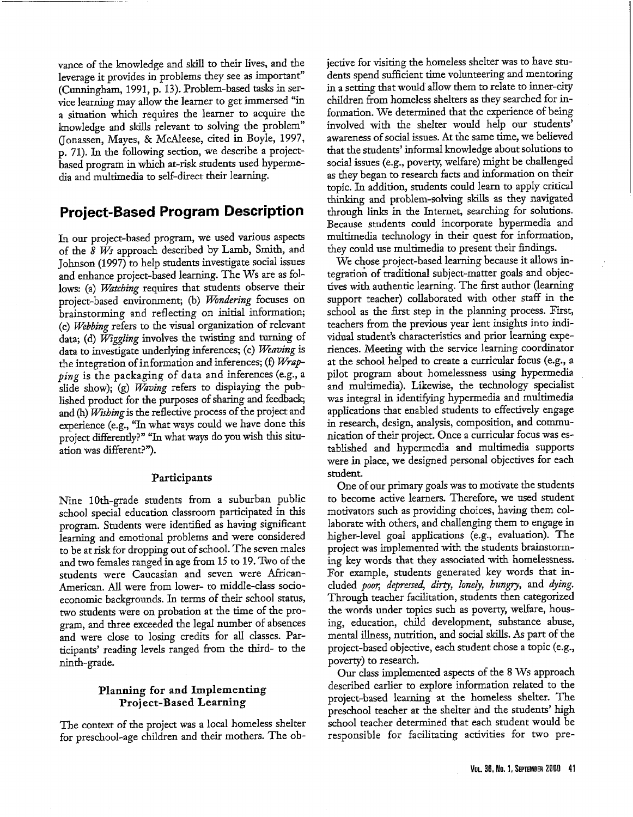vance of the knowledge and skill to their lives, and the leverage it provides in problems they see as important" (Cunningham, 1991, p. 13). Problem-based tasks in service learning may allow the learner to get immersed "in a situation which requires the learner to acquire the knowledge and skills relevant to solving the problem" (Jonassen, Mayes, & McAleese, cited in Boyle, 1997, p. 71). In the following section, we describe a projectbased program in which at-risk students used hypermedia and multimedia to self-direct their learning.

# **Project-Based Program Description**

In our project-based program, we used various aspects of the *8 Ws* approach described by Lamb, Smith, and Johnson (1997) to help students investigate social issues and enhance project-based learning. TheWs are as follows: (a) *Watching* requires that students observe their project-based environment; (b) *Wondering* focuses on brainstorming and reflecting on initial information; (c) *Webbing* refers to the visual organization of relevant data; (d) *Wiggling* involves the twisting and turning of data to investigate underlying inferences; (e) *Weaving* is the integration of information and inferences; (f) *Wrap<sup>p</sup>ing* is the packaging of data and inferences (e.g., a slide show); (g) *Waving* refers to displaying the published product for the purposes of sharing and feedback; and (h) *Wtshing* is the reflective process of the project and experience (e.g., "In what ways could we have done this project differently?" "In what ways do you wish this situation was different?").

#### Participants

Nine 1Oth-grade students from a suburban public school special education classroom participated in this program. Students were identified as having significant learning and emotional problems and were considered to be at risk for dropping out of school. The seven males and two females ranged in age from 15 to 19. Two of the students were Caucasian and seven were African-American. All were from lower- to middle-class socioeconomic backgrounds. In terms of their school status, two students were on probation at the time of the program, and three exceeded the legal number of absences and were close to losing credits for all classes. Participants' reading levels ranged from the third- to the ninth-grade.

## Planning for and Implementing Project-Based Learning

The context of the project was a local homeless shelter for preschool-age children and their mothers. The objective for visiting the homeless shelter was to have students spend sufficient time volunteering and mentoring in a setting that would allow them to relate to inner-city children from homeless shelters as they searched for information. We determined that the experience of being involved with the shelter would help our students' awareness of social issues. At the same time, we believed that the students' informal knowledge about solutions to social issues (e.g., poverty, welfare) might be challenged as they began to research facts and information on their topic. In addition, students could learn to apply critical thinking and problem-solving skills as they navigated through links in the Internet, searching for solutions. Because students could incorporate hypermedia and multimedia technology in their quest for information, they could use multimedia to present their findings.

We chose project-based learning because it allows integration of traditional subject-matter goals and objectives with authentic learning. The first author (learning support teacher) collaborated with other staff in the school as the first step in the planning process. First, teachers from the previous year lent insights into individual student's characteristics and prior learning experiences. Meeting with the service learning coordinator at the school helped to create a curricular focus (e.g., a <sup>p</sup>ilot program about homelessness using hypermedia and multimedia). Likewise, the technology specialist was integral in identifying hypermedia and multimedia applications that enabled students to effectively engage in research, design, analysis, composition, and communication of their project. Once a curricular focus was established and hypermedia and multimedia supports were in place, we designed personal objectives for each student.

One of our primary goals was to motivate the students to become active learners. Therefore, we used student motivators such as providing choices, having them collaborate with others, and challenging them to engage in higher-level goal applications (e.g., evaluation). The project was implemented with the students brainstorming key words that they associated with homelessness. For example, students generated key words that in*cluded poor, depressed, dirty, lonely, hungry, and dying.* Through teacher facilitation, students then categorized the words under topics such as poverty, welfare, housing, education, child development, substance abuse, mental illness, nutrition, and social skills. As part of the project-based objective, each student chose a topic (e.g., poverty) to research.

Our class implemented aspects of the 8 Ws approac<sup>h</sup> described earlier to explore information related to the project-based learning at the homeless shelter. The preschool teacher at the shelter and the students' high school teacher determined that each student would be responsible for facilitating activities for two pre-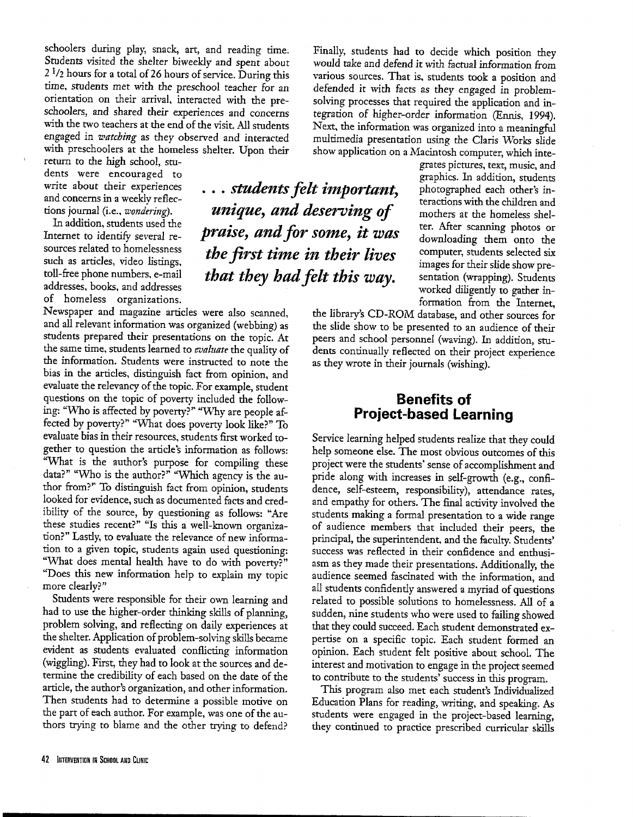schoolers during play, snack, art, and reading time. Students visited the shelter biweekly and spent about  $2<sup>1</sup>/2$  hours for a total of 26 hours of service. During this time, students met with the preschool teacher for an orientation on their arrival, interacted with the preschoolers, and shared their experiences and concerns with the two teachers at the end of the visit. All students engaged in *watching* as they observed and interacted with preschoolers at the homeless shelter. Upon their

return to the high school, students were encouraged to write about their experiences and concerns in a weekly reflections journal (i.e., *wondering).* 

In addition, students used the Internet to identify several resources related to homelessness such as artides, video listings, toll-free phone numbers. e-mail addresses, books, and addresses of homeless organizations.

Newspaper and magazine articles were also scanned, and all relevant information was organized (webbing) as students prepared their presentations on the topic. At the same time, students learned to *evaluate* the quality of the information. Students were instructed to note the bias in the articles, distinguish fact from opinion, and evaluate the relevancy of the topic. For example, student questions on the topic of poverty included the following: "Who is affected by poverty?" "Why are people affected by poverty?" "What does poverty look like?" To evaluate bias in their resources, students first worked together to question the article's information as follows: "What is the author's purpose for compiling these data?" "Who is the author?" "Which agency is the author from?'' To distinguish fact from opinion, students looked for evidence, such as documented facts and credibility of the source, by questioning as follows: "Are these studies recent?" "Is this a well-known organization?'' Lastly, to evaluate the relevance of new information to a given topic, students again used questioning: "What does mental health have to do with poverty?" ''Does this new information help to explain my topic more clearly?"

Students were responsible for their own learning and had to use the higher-order thinking skills of planning, problem solving, and reflecting on daily experiences at the shelter. Application of problem-solving skills became evident as students evaluated conflicting information (wiggling). First, they had to look at the sources and determine the credibility of each based on the date of the article, the author's organization, and other information. Then students had to determine a possible motive on the part of each author. For example, was one of the authors trying to blame and the other trying to defend?

... *students felt important, unique, and deserving of praise, and for some, it was the first time in their lives that they had felt this way.* 

Finally, students had to decide which position they would take and defend it with factual information from various sources. That is. students took a position and defended *it* with facts as *they* engaged in problemsolving processes that required the application and integration of higher-order information (Ennis, 1994). Next, the information was organized into a meaningful multimedia presentation using the Claris Works slide show application on a Macintosh computer, which inte-

> grates pictures, text, music, and graphics. In addition, students photographed each other's interactions with the children and mothers at the homeless shelter. After scanning photos or downloading them onto the computer, students selected six images for their slide show presentation (wrapping). Students worked diligently to gather information from the Internet,

the library's CD-ROM database, and other sources for the slide show to be presented to an audience of their peers and school personnel (waving). In addition, students continually reflected on their project experience as they wrote in their journals (wishing).

# **Benefits of Project-based Learning**

Service learning helped students realize that they could help someone else. The most obvious outcomes of this project were the students' sense of accomplishment and pride along with increases in self-growth (e.g., confidence, self-esteem, responsibility), attendance rates, and empathy for others. The final activity involved the students making a formal presentation to a wide range of audience members that included their peers, the principal, the superintendent, and the faculty. Students' success was reflected in their confidence and enthusiasm as they made their presentations. Additionally, the audience seemed fascinated with the information, and all students confidently answered a myriad of questions related to possible solutions to homelessness. All of <sup>a</sup> sudden, nine students who were used to failing showed that they could succeed. Each student demonstrated expertise on a specific topic. Each student formed an opinion. Each student felt positive about school. The interest and motivation to engage in the project seemed to contribute to the students' success in this program.

This program also met each student's Individualized Education Plans for reading, writing, and speaking. As students were engaged in the project-based learning, they continued to practice prescribed curricular skills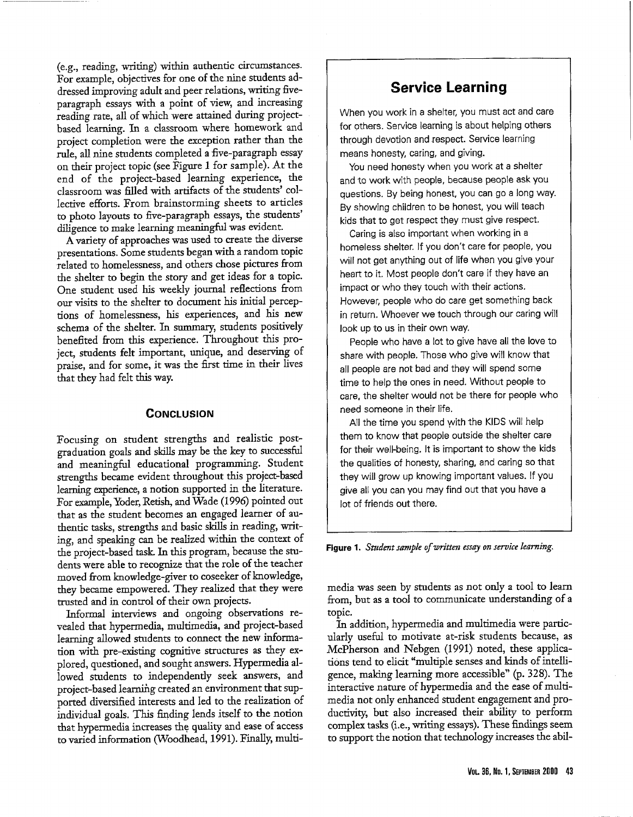(e.g., reading, writing) within authentic circumstances. For example, objectives for one of the nine students addressed improving adult and peer relations, writing fiveparagraph essays with a point of view, and increasing reading rate, all of which were attained during projectbased learning. In a classroom where homework and project completion were the exception rather than the rule, all nine students completed a five-paragraph essay on their project topic (see Figure 1 for sample). At the end of the project-based learning experience, the classroom was filled with artifacts of the students' collective efforts. From brainstorming sheets to articles to photo layouts to five-paragraph essays, the students' diligence to make learning meaningful was evident.

A variety of approaches was used to create the diverse presentations. Some students began with a random topic related to homelessness, and others chose pictures from the shelter to begin the story and get ideas for a topic. One student used his weekly journal reflections from our visits to the shelter to document his initial perceptions of homelessness, his experiences, and his new schema of the shelter. In summary, students positively benefited from this experience. Throughout this project, students felt important, unique, and deserving of praise, and for some, it was the first time in their lives that they had felt this way.

## **CoNCLUSION**

Focusing on student strengths and realistic postgraduation goals and skills may be the key to successful and meaningful educational programming. Student strengths became evident throughout this project-based learning experience, a notion supported in the literature. For example, Yoder, Retish, and Wade (1996) pointed out that as the student becomes an engaged learner of authentic tasks, strengths and basic skills in reading, writing, and speaking can be realized within the context of the project-based task. In this program, because the students were able to recognize that the role of the teacher moved from knowledge-giver to coseeker of knowledge, they became empowered. They realized that they were trusted and in control of their own projects.

Informal interviews and ongoing observations revealed that hypermedia, multimedia, and project-based learning allowed students to connect the new information with pre-existing cognitive structures as they explored, questioned, and sought answers. Hypermedia allowed students to independently seek answers, and project-based learning created an environment that supported diversified interests and led to the realization of individual goals. This finding lends itself to the notion that hypermedia increases the quality and ease of access to varied information (Woodhead, 1991). Finally, multi-

# **Service Learning**

When you work in a shelter, you must act and care for others. Service learning is about helping others through devotion and respect. Service learning means honesty, caring, and giving.

You need honesty when you work at a shelter and to work with people, because people ask you questions. By being honest, you can go a long way. By showing children to be honest, you will teach kids that to get respect they must give respect.

Caring is also important when working in a homeless shelter. If you don't care for people, you will not get anything out of life when you give your heart to it. Most people don't care if they have an impact or who they touch with their actions. However, people who do care get something back in return. Whoever we touch through our caring will look up to us in their own way.

People who have a lot to give have all the love to share with people. Those who give will know that all people are not bad and they will spend some time to help the ones in need. Without people to care, the shelter would not be there for people who need someone in their life.

All the time you spend with the KIDS will help them to know that people outside the shelter care for their well-being. It is important to show the kids the qualities of honesty, sharing, and caring so that 1hey will grow up knowing important values. If you give all you can you may find out that you have a lot of friends out there.

#### Figure 1. *Student sample of written essay on service learning.*

media was seen by students as not only a tool to learn from, but as a tool to communicate understanding of <sup>a</sup> topic.

In addition, hypermedia and multimedia were particularly useful to motivate at-risk students because, as McPherson and Nebgen (1991) noted, these applications tend to elicit "multiple senses and kinds of intelligence, making learning more accessible" (p. 328). The interactive nature of hypermedia and the ease of multimedia not only enhanced student engagement and productivity; but also increased their ability to perform complex tasks (i.e., writing essays). These findings seem to support the notion that technology increases the abil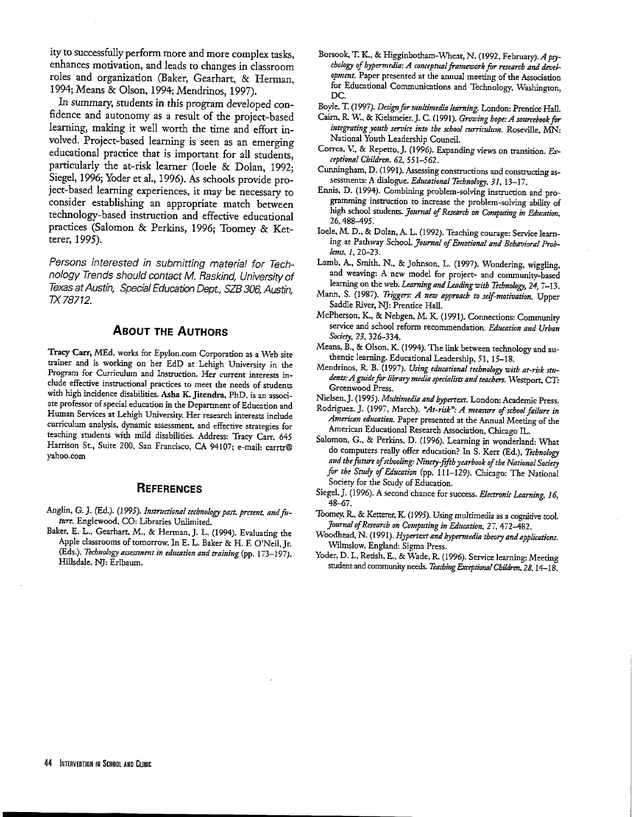ity to successfully perform more and more complex tasks, enhances motivation, and leads to changes in classroom roles and organization (Baker, Gearhart, & Herman, 1994; Means & Olson, 1994; Mendrinos, 1997).

In summary, students in this program developed confidence and autonomy as a result of the project-based learning, making it well worth the time and effort involved. Project-based learning is seen as an emerging educational practice that is important for all students, particularly the at-risk learner (Ioele & Dolan, 1992; Siegel, 1996; Yoder et al., 1996). As schools provide project-based learning experiences, it may be necessary to consider establishing an appropriate match between technology-based instruction and effective educational practices (Salomon & Perkins, 1996; Toomey & Ketterer, 1995).

Persons interested in submitting material for Technology Trends should contact M. Raskind, University of Texas at Austin, Special Education Dept., SZB 306, Austin, TX78712.

### **ABOUT THE AUTHORS**

Tracy Carr, MEd, works for Epylon.com Corporation as a Web site trainer and is working on her EdD at Lehigh University in the Program for Curriculum and Instruction. Her current interests include effective instructional practices to meet the needs of students with high incidence disabilities. Asha K. Jitendra, PhD. is an associate professor of special education in the Department of Education and Human Services at Lehigh University. Her research interests include curriculum analysis, dynamic assessment, and effective strategies for teaching students with mild disabilities. Address: Tracy Carr. <sup>645</sup> Harrison St., Suite 200, San Francisco, CA 94107; e-mail: carrtr@ yahoo.com

### **REFERENCES**

- Anglin, G. J. (Ed.). (1995). Instructional technology past, present, and fu*ture.* Englewood, CO: Libraries Unlimited.
- Baker, E. L., Gearhart, M., & Herman, J. L. (1994). Evaluating the Apple classrooms of tomorrow. In E. L. Baker & H. F. O'Neil, Jr. (Eds.), *Technology assessment in education and training* (pp. 173-197). Hillsdale. NJ: Erlbaum.

Borsook, T. K.. & Higginbotham-\Vheat, N. (1992, February). *A psy- chology of hypermedia: A conceptual framework for research and development.* Paper presented at the annual meeting of the Association for Educational Communications and Technology. Washington, DC.

Boyle, T. (1997). Design *for 1mtltinzedia learning.* London: Prentice Hall.

- Cairn, R W., & Kielsmeier,J. C. (1991). *Growing bope: A sourcebook for integrating \_vouth seroice into the school currimlzrm.* Roseville, MN: National Youth Leadership Council.
- Correa, V., & Repetto, J. (1996). Expanding views on transition. *Exceptional Children, 62,* 551-562.
- Cunningham, D. (1991). Assessing constructions and constructing assessments: A dialogue. *Educational Technology*, 31, 13-17.
- Ennis, D. (1994). Combining problem-solving instruction and programming instruction to increase the problem-solving ability of high school students. *Journal* of *Research on Omzputing in Education,*  26, 488-495.
- loele, M.D., & Dolan, A. L. (1992). Teaching courage: Service learning at Pathway SchooL *Jortrnal* of *Emotional and Behavioral Problenzs,* 1, 20-23.
- Lamb, A., Smith, N., & Johnson, L. (1997). Wondering, wiggling, and weaving: A new model for project- and community-based learning on the web. *Learning and Leading with Technology, 24,* 7-13.
- Mann, S. (1987). *Triggers: A new approach to self-motivation.* Upper Saddle River, NJ: Prentice Hall.
- McPherson, K., & Nebgen, M. K. (1991). Connections: Community service and school reform recommendation. *Education and Urban*  Society, 23, 326-334.
- Means, B., & Olson, K. (1994). The link between technology and authentic learning. Educational Leadership, 51, 15-18.
- Mendrinos, R. B. (1997). *Using educational technology with at-risk students: A guide for* library *media .rpetia/ists a11d teachers.* Westport, CT: Greenwood Press.
- Nielsen,]. (1995). *Multimedia and hypertext.* London: Academic Press.
- Rodriguez, J. (1997, March). "At-risk": A measure of school failure in American education. Paper presented at the Annual Meeting of the American Educational Research Association, Chicago U...
- Salomon, G., & Perkins, D. (1996). Learning in wonderland: What do computers really offer education? In S. Kerr (Ed.), *Technology and the Jmure of schooling: Ninery-fifth yearbook* of *the National Soddy for the Smdy* of *Education* (pp. 111-129). Chicago: The National Society for the Study of Education.
- Siegel,]. ( 1996). A second chance for success. *Electronic Learning.* 16, 48-67.
- Toomey. R, & Ketterer, K. (1995). Using multimedia as a cognitive tool. *Jo-urnal* of *Research on Co111puting in Education,* 27, 472-482.
- Woodhead, N. ( 1991 ). *Hypertext and hypemudia theory and applications.*  Wilmslow, England: Sigma Press.
- Yoder, D. I., Retish. E., & Wade, R. (1996). Service learning: Meeting student and community needs. *Teaching Exceptional Children. 28,* 14-18.